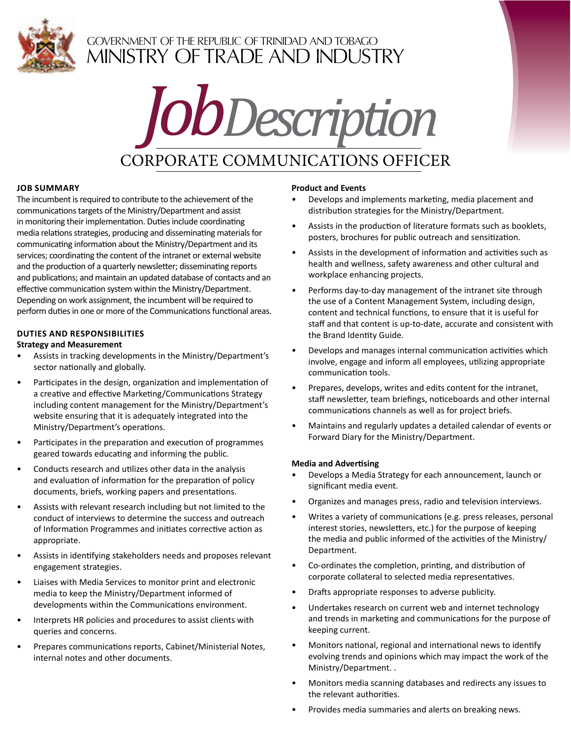

## Government of the Republic of Trinidad and Tobago Ministry of Trade and Industry



### **Job Summary**

The incumbent is required to contribute to the achievement of the communications targets of the Ministry/Department and assist in monitoring their implementation. Duties include coordinating media relations strategies, producing and disseminating materials for communicating information about the Ministry/Department and its services; coordinating the content of the intranet or external website and the production of a quarterly newsletter; disseminating reports and publications; and maintain an updated database of contacts and an effective communication system within the Ministry/Department. Depending on work assignment, the incumbent will be required to perform duties in one or more of the Communications functional areas.

### **DUTIES AND RESPONSIBILITIES**

### **Strategy and Measurement**

- Assists in tracking developments in the Ministry/Department's sector nationally and globally.
- Participates in the design, organization and implementation of a creative and effective Marketing/Communications Strategy including content management for the Ministry/Department's website ensuring that it is adequately integrated into the Ministry/Department's operations.
- Participates in the preparation and execution of programmes geared towards educating and informing the public.
- Conducts research and utilizes other data in the analysis and evaluation of information for the preparation of policy documents, briefs, working papers and presentations.
- Assists with relevant research including but not limited to the conduct of interviews to determine the success and outreach of Information Programmes and initiates corrective action as appropriate.
- Assists in identifying stakeholders needs and proposes relevant engagement strategies.
- Liaises with Media Services to monitor print and electronic media to keep the Ministry/Department informed of developments within the Communications environment.
- Interprets HR policies and procedures to assist clients with queries and concerns.
- Prepares communications reports, Cabinet/Ministerial Notes, internal notes and other documents.

### **Product and Events**

- Develops and implements marketing, media placement and distribution strategies for the Ministry/Department.
- Assists in the production of literature formats such as booklets, posters, brochures for public outreach and sensitization.
- Assists in the development of information and activities such as health and wellness, safety awareness and other cultural and workplace enhancing projects.
- Performs day-to-day management of the intranet site through the use of a Content Management System, including design, content and technical functions, to ensure that it is useful for staff and that content is up-to-date, accurate and consistent with the Brand Identity Guide.
- Develops and manages internal communication activities which involve, engage and inform all employees, utilizing appropriate communication tools.
- Prepares, develops, writes and edits content for the intranet, staff newsletter, team briefings, noticeboards and other internal communications channels as well as for project briefs.
- Maintains and regularly updates a detailed calendar of events or Forward Diary for the Ministry/Department.

### **Media and Advertising**

- Develops a Media Strategy for each announcement, launch or significant media event.
- Organizes and manages press, radio and television interviews.
- Writes a variety of communications (e.g. press releases, personal interest stories, newsletters, etc.) for the purpose of keeping the media and public informed of the activities of the Ministry/ Department.
- Co-ordinates the completion, printing, and distribution of corporate collateral to selected media representatives.
- Drafts appropriate responses to adverse publicity.
- Undertakes research on current web and internet technology and trends in marketing and communications for the purpose of keeping current.
- Monitors national, regional and international news to identify evolving trends and opinions which may impact the work of the Ministry/Department. .
- Monitors media scanning databases and redirects any issues to the relevant authorities.
- Provides media summaries and alerts on breaking news.